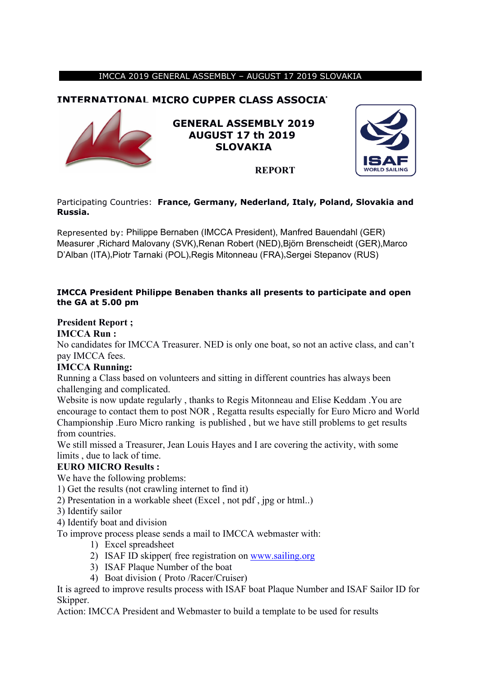#### IMCCA 2019 GENERAL ASSEMBLY – AUGUST 17 2019 SLOVAKIA

## **INTERNATIONAL MICRO CUPPER CLASS ASSOCIA**



**GENERAL ASSEMBLY 2019 AUGUST 17 th 2019 SLOVAKIA**



#### Participating Countries: **France, Germany, Nederland, Italy, Poland, Slovakia and Russia.**

Represented by: Philippe Bernaben (IMCCA President), Manfred Bauendahl (GER) Measurer ,Richard Malovany (SVK),Renan Robert (NED),Björn Brenscheidt (GER),Marco D'Alban (ITA),Piotr Tarnaki (POL),Regis Mitonneau (FRA),Sergei Stepanov (RUS)

#### **IMCCA President Philippe Benaben thanks all presents to participate and open the GA at 5.00 pm**

#### **President Report ;**

#### **IMCCA Run :**

No candidates for IMCCA Treasurer. NED is only one boat, so not an active class, and can't pay IMCCA fees.

#### **IMCCA Running:**

Running a Class based on volunteers and sitting in different countries has always been challenging and complicated.

Website is now update regularly , thanks to Regis Mitonneau and Elise Keddam .You are encourage to contact them to post NOR , Regatta results especially for Euro Micro and World Championship .Euro Micro ranking is published , but we have still problems to get results from countries.

We still missed a Treasurer, Jean Louis Hayes and I are covering the activity, with some limits , due to lack of time.

#### **EURO MICRO Results :**

We have the following problems:

1) Get the results (not crawling internet to find it)

- 2) Presentation in a workable sheet (Excel , not pdf , jpg or html..)
- 3) Identify sailor

4) Identify boat and division

To improve process please sends a mail to IMCCA webmaster with:

- 1) Excel spreadsheet
- 2) ISAF ID skipper( free registration on [www.sailing.org](http://www.sailing.org)
- 3) ISAF Plaque Number of the boat
- 4) Boat division ( Proto /Racer/Cruiser)

It is agreed to improve results process with ISAF boat Plaque Number and ISAF Sailor ID for Skipper.

Action: IMCCA President and Webmaster to build a template to be used for results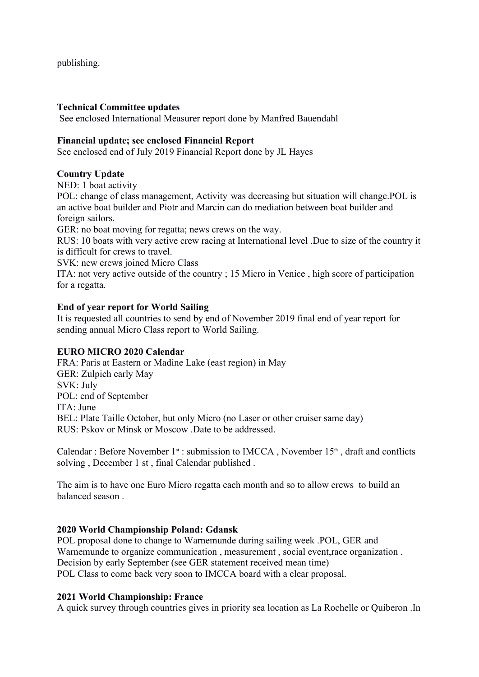publishing.

#### **Technical Committee updates**

See enclosed International Measurer report done by Manfred Bauendahl

#### **Financial update; see enclosed Financial Report**

See enclosed end of July 2019 Financial Report done by JL Hayes

#### **Country Update**

NED: 1 boat activity

POL: change of class management, Activity was decreasing but situation will change.POL is an active boat builder and Piotr and Marcin can do mediation between boat builder and foreign sailors.

GER: no boat moving for regatta; news crews on the way.

RUS: 10 boats with very active crew racing at International level .Due to size of the country it is difficult for crews to travel.

SVK: new crews joined Micro Class

ITA: not very active outside of the country ; 15 Micro in Venice , high score of participation for a regatta.

#### **End of year report for World Sailing**

It is requested all countries to send by end of November 2019 final end of year report for sending annual Micro Class report to World Sailing.

#### **EURO MICRO 2020 Calendar**

FRA: Paris at Eastern or Madine Lake (east region) in May GER: Zulpich early May SVK: July POL: end of September ITA: June BEL: Plate Taille October, but only Micro (no Laser or other cruiser same day) RUS: Pskov or Minsk or Moscow .Date to be addressed.

Calendar : Before November  $1<sup>st</sup>$ : submission to IMCCA, November  $15<sup>th</sup>$ , draft and conflicts solving , December 1 st , final Calendar published .

The aim is to have one Euro Micro regatta each month and so to allow crews to build an balanced season .

#### **2020 World Championship Poland: Gdansk**

POL proposal done to change to Warnemunde during sailing week .POL, GER and Warnemunde to organize communication , measurement , social event,race organization . Decision by early September (see GER statement received mean time) POL Class to come back very soon to IMCCA board with a clear proposal.

#### **2021 World Championship: France**

A quick survey through countries gives in priority sea location as La Rochelle or Quiberon .In